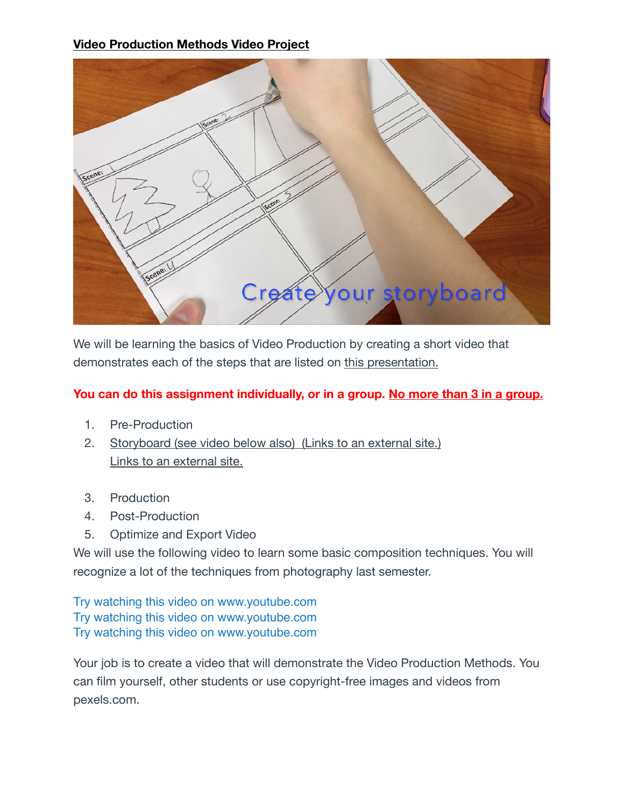## **Video Production Methods Video Project**



We will be learning the basics of Video Production by creating a short video that demonstrates each of the steps that are listed on [this presentation.](https://oneillpublicschools.instructure.com/courses/1592/files/47511/download?wrap=1)

## **You can do this assignment individually, or in a group. No more than 3 in a group.**

- 1. Pre-Production
- 2. [Storyboard \(see video below also\)](http://mobileqrsolutions.com/wp-content/uploads/2018/10/Storyboardcopy-Vintage-Free-Storyboard-Templates-768x994.jpg) (Links to an external site.) [Links to an external site.](http://mobileqrsolutions.com/wp-content/uploads/2018/10/Storyboardcopy-Vintage-Free-Storyboard-Templates-768x994.jpg)
- 3. Production
- 4. Post-Production
- 5. Optimize and Export Video

We will use the following video to learn some basic composition techniques. You will recognize a lot of the techniques from photography last semester.

[Try watching this video on www.youtube.com](http://www.youtube.com/watch?v=UfBRNHNLyxE), [Try watching this video on www.youtube.com](http://www.youtube.com/watch?v=IkENvsVBfng), [Try watching this video on www.youtube.com](http://www.youtube.com/watch?v=UE7NLrIXzns)

Your job is to create a video that will demonstrate the Video Production Methods. You can film yourself, other students or use copyright-free images and videos from pexels.com.